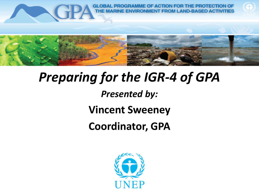

# *Preparing for the IGR-4 of GPA*

## *Presented by:*

## **Vincent Sweeney**

# **Coordinator, GPA**

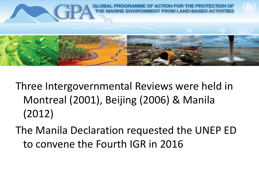

- Three Intergovernmental Reviews were held in Montreal (2001), Beijing (2006) & Manila (2012)
- The Manila Declaration requested the UNEP ED to convene the Fourth IGR in 2016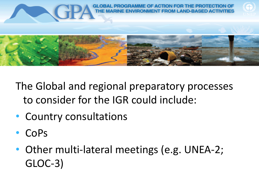

The Global and regional preparatory processes to consider for the IGR could include:

- Country consultations
- CoPs
- Other multi-lateral meetings (e.g. UNEA-2; GLOC-3)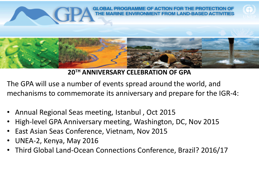

#### **20TH ANNIVERSARY CELEBRATION OF GPA**

The GPA will use a number of events spread around the world, and mechanisms to commemorate its anniversary and prepare for the IGR-4:

- Annual Regional Seas meeting, Istanbul , Oct 2015
- High-level GPA Anniversary meeting, Washington, DC, Nov 2015
- East Asian Seas Conference, Vietnam, Nov 2015
- UNEA-2, Kenya, May 2016
- Third Global Land-Ocean Connections Conference, Brazil? 2016/17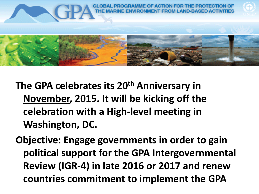

- **The GPA celebrates its 20th Anniversary in November, 2015. It will be kicking off the celebration with a High-level meeting in Washington, DC.**
- **Objective: Engage governments in order to gain political support for the GPA Intergovernmental Review (IGR-4) in late 2016 or 2017 and renew countries commitment to implement the GPA**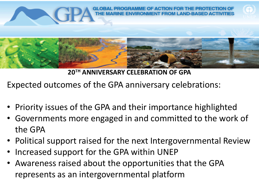

**20TH ANNIVERSARY CELEBRATION OF GPA**

Expected outcomes of the GPA anniversary celebrations:

- Priority issues of the GPA and their importance highlighted
- Governments more engaged in and committed to the work of the GPA
- Political support raised for the next Intergovernmental Review
- Increased support for the GPA within UNEP
- Awareness raised about the opportunities that the GPA represents as an intergovernmental platform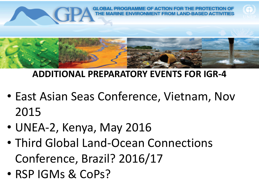

### **ADDITIONAL PREPARATORY EVENTS FOR IGR-4**

- East Asian Seas Conference, Vietnam, Nov 2015
- UNEA-2, Kenya, May 2016
- Third Global Land-Ocean Connections Conference, Brazil? 2016/17
- RSP IGMs & CoPs?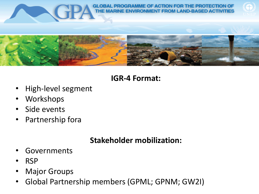

**GLOBAL PROGRAMME OF ACTION FOR THE PROTECTION OF** MENT FROM LAND-BASED ACTIVITIES





### **IGR-4 Format:**

- High-level segment
- **Workshops**
- Side events
- Partnership fora

### **Stakeholder mobilization:**

- **Governments**
- RSP
- **Major Groups**
- Global Partnership members (GPML; GPNM; GW2I)